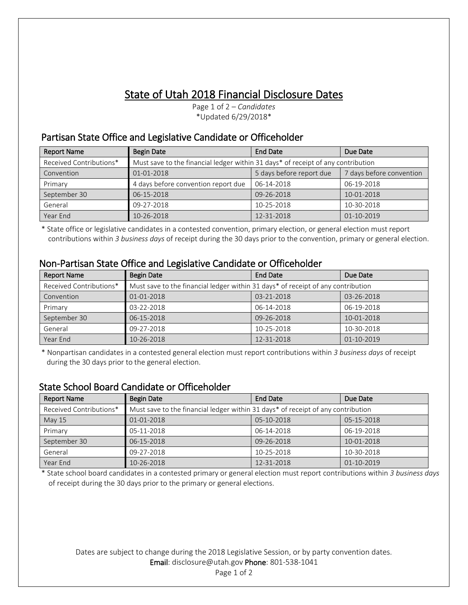## State of Utah 2018 Financial Disclosure Dates

Page 1 of 2 – *Candidates* \*Updated 6/29/2018\*

## Partisan State Office and Legislative Candidate or Officeholder

| <b>Report Name</b>      | Begin Date                                                                       | <b>End Date</b>          | Due Date                 |
|-------------------------|----------------------------------------------------------------------------------|--------------------------|--------------------------|
| Received Contributions* | Must save to the financial ledger within 31 days* of receipt of any contribution |                          |                          |
| Convention              | 01-01-2018                                                                       | 5 days before report due | 7 days before convention |
| Primary                 | 4 days before convention report due                                              | 06-14-2018               | 06-19-2018               |
| September 30            | 06-15-2018                                                                       | 09-26-2018               | 10-01-2018               |
| General                 | 09-27-2018                                                                       | 10-25-2018               | 10-30-2018               |
| Year End                | 10-26-2018                                                                       | 12-31-2018               | 01-10-2019               |

\* State office or legislative candidates in a contested convention, primary election, or general election must report contributions within *3 business days* of receipt during the 30 days prior to the convention, primary or general election.

| <b>Report Name</b>      | <b>Begin Date</b>                                                                | <b>End Date</b> | Due Date   |
|-------------------------|----------------------------------------------------------------------------------|-----------------|------------|
| Received Contributions* | Must save to the financial ledger within 31 days* of receipt of any contribution |                 |            |
| Convention              | 01-01-2018                                                                       | 03-21-2018      | 03-26-2018 |
| Primary                 | 03-22-2018                                                                       | 06-14-2018      | 06-19-2018 |
| September 30            | 06-15-2018                                                                       | 09-26-2018      | 10-01-2018 |
| General                 | 09-27-2018                                                                       | 10-25-2018      | 10-30-2018 |
| Year End                | 10-26-2018                                                                       | 12-31-2018      | 01-10-2019 |

### Non-Partisan State Office and Legislative Candidate or Officeholder

\* Nonpartisan candidates in a contested general election must report contributions within *3 business days* of receipt during the 30 days prior to the general election.

### State School Board Candidate or Officeholder

| <b>Report Name</b>      | <b>Begin Date</b>                                                                | <b>End Date</b> | Due Date   |
|-------------------------|----------------------------------------------------------------------------------|-----------------|------------|
| Received Contributions* | Must save to the financial ledger within 31 days* of receipt of any contribution |                 |            |
| <b>May 15</b>           | 01-01-2018                                                                       | 05-10-2018      | 05-15-2018 |
| Primary                 | 05-11-2018                                                                       | 06-14-2018      | 06-19-2018 |
| September 30            | 06-15-2018                                                                       | 09-26-2018      | 10-01-2018 |
| General                 | 09-27-2018                                                                       | 10-25-2018      | 10-30-2018 |
| Year End                | 10-26-2018                                                                       | 12-31-2018      | 01-10-2019 |

\* State school board candidates in a contested primary or general election must report contributions within *3 business days* of receipt during the 30 days prior to the primary or general elections.

#### Dates are subject to change during the 2018 Legislative Session, or by party convention dates. Email: disclosure@utah.gov Phone: 801-538-1041

Page 1 of 2